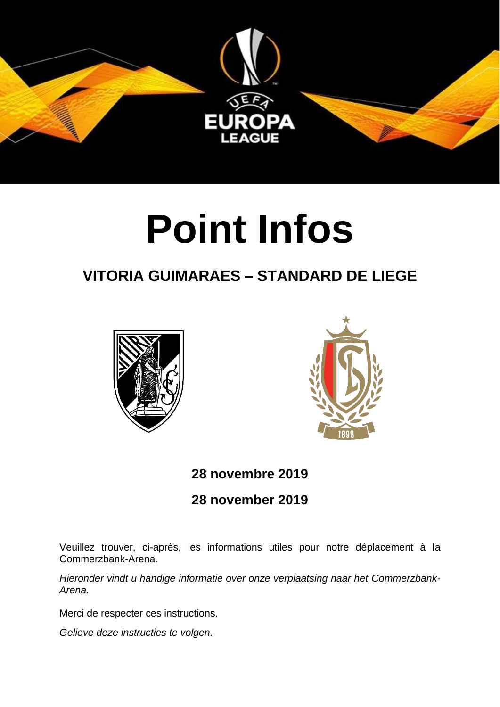

# **Point Infos**

## **VITORIA GUIMARAES – STANDARD DE LIEGE**





## **28 novembre 2019**

#### **28 november 2019**

Veuillez trouver, ci-après, les informations utiles pour notre déplacement à la Commerzbank-Arena.

*Hieronder vindt u handige informatie over onze verplaatsing naar het Commerzbank-Arena.*

Merci de respecter ces instructions.

*Gelieve deze instructies te volgen.*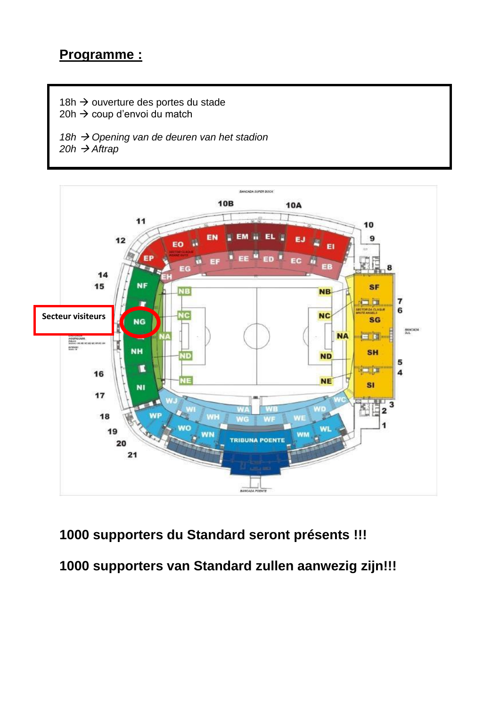18h → ouverture des portes du stade 20h → coup d'envoi du match

*18h* → *Opening van de deuren van het stadion*  $20h \rightarrow \overrightarrow{A}$ *ftrap* 



## **1000 supporters du Standard seront présents !!!**

**1000 supporters van Standard zullen aanwezig zijn!!!**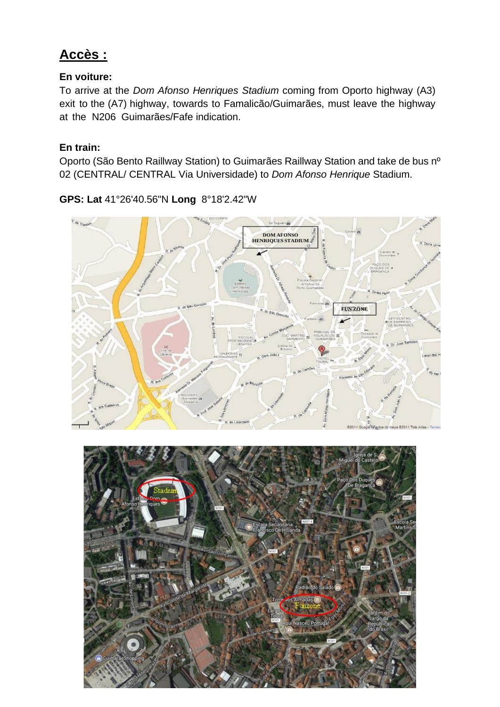## **Accès :**

#### **En voiture:**

To arrive at the *Dom Afonso Henriques Stadium* coming from Oporto highway (A3) exit to the (A7) highway, towards to Famalicão/Guimarães, must leave the highway at the N206 Guimarães/Fafe indication.

#### **En train:**

Oporto (São Bento Raillway Station) to Guimarães Raillway Station and take de bus nº 02 (CENTRAL/ CENTRAL Via Universidade) to *Dom Afonso Henrique* Stadium.

**GPS: Lat** 41°26'40.56"N **Long** 8°18'2.42"W



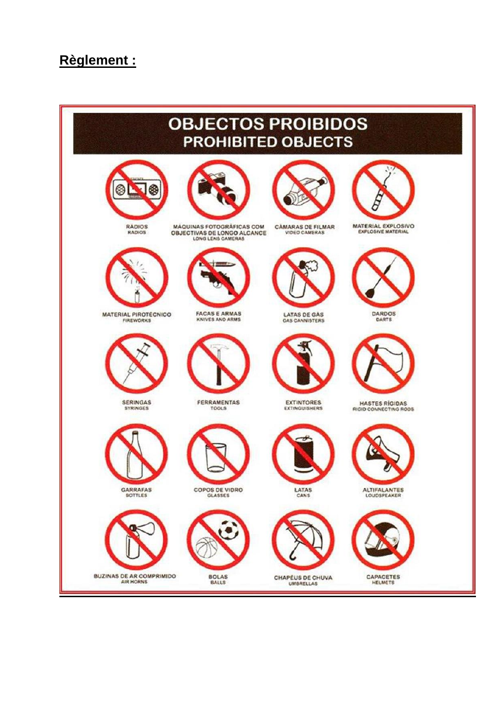#### **Règlement :**

#### **OBJECTOS PROIBIDOS PROHIBITED OBJECTS** 8 ⊗ MATERIAL EXPLOSIVO **RADIOS MAQUINAS FOTOGRÁFICAS COM CÀMARAS DE FILMAR** OBJECTIVAS DE LONGO ALCANCE **RADIOS VIDEO CAMERAS FACAS E ARMAS**<br>KNIVES AND ARMS MATERIAL PIROTECNICO **DARDOS LATAS DE GAS DARTS FIREWORKS GAS CANNISTERS** SERINGAS<br>SYRINGES FERRAMENTAS **EXTINTORES HASTES RÍGIDAS** RIGID CONNECTING ROOS **GARRAFAS** COPOS DE VIDRO LATAS ALTIFALANTES **BUZINAS DE AR COMPRIMIDO BOLAS** CAPACETES CHAPÉUS DE CHUVA AIR HORNS **UMBRELLAS**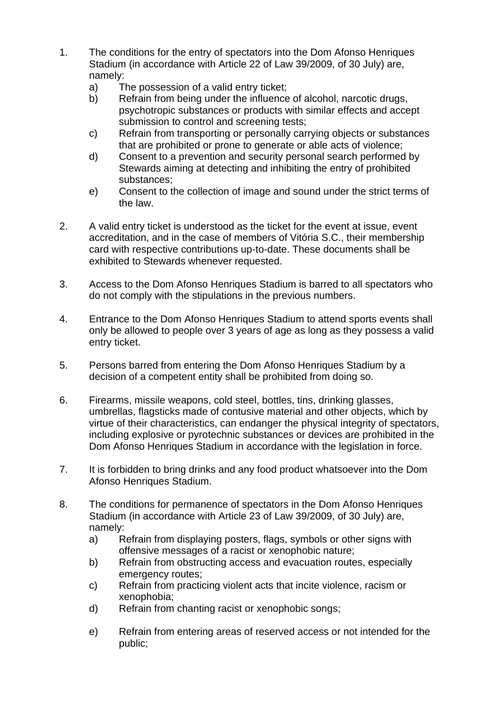- 1. The conditions for the entry of spectators into the Dom Afonso Henriques Stadium (in accordance with Article 22 of Law 39/2009, of 30 July) are, namely:
	- a) The possession of a valid entry ticket;
	- b) Refrain from being under the influence of alcohol, narcotic drugs, psychotropic substances or products with similar effects and accept submission to control and screening tests;
	- c) Refrain from transporting or personally carrying objects or substances that are prohibited or prone to generate or able acts of violence;
	- d) Consent to a prevention and security personal search performed by Stewards aiming at detecting and inhibiting the entry of prohibited substances;
	- e) Consent to the collection of image and sound under the strict terms of the law.
- 2. A valid entry ticket is understood as the ticket for the event at issue, event accreditation, and in the case of members of Vitória S.C., their membership card with respective contributions up-to-date. These documents shall be exhibited to Stewards whenever requested.
- 3. Access to the Dom Afonso Henriques Stadium is barred to all spectators who do not comply with the stipulations in the previous numbers.
- 4. Entrance to the Dom Afonso Henriques Stadium to attend sports events shall only be allowed to people over 3 years of age as long as they possess a valid entry ticket.
- 5. Persons barred from entering the Dom Afonso Henriques Stadium by a decision of a competent entity shall be prohibited from doing so.
- 6. Firearms, missile weapons, cold steel, bottles, tins, drinking glasses, umbrellas, flagsticks made of contusive material and other objects, which by virtue of their characteristics, can endanger the physical integrity of spectators, including explosive or pyrotechnic substances or devices are prohibited in the Dom Afonso Henriques Stadium in accordance with the legislation in force.
- 7. It is forbidden to bring drinks and any food product whatsoever into the Dom Afonso Henriques Stadium.
- 8. The conditions for permanence of spectators in the Dom Afonso Henriques Stadium (in accordance with Article 23 of Law 39/2009, of 30 July) are, namely:
	- a) Refrain from displaying posters, flags, symbols or other signs with offensive messages of a racist or xenophobic nature;
	- b) Refrain from obstructing access and evacuation routes, especially emergency routes;
	- c) Refrain from practicing violent acts that incite violence, racism or xenophobia;
	- d) Refrain from chanting racist or xenophobic songs;
	- e) Refrain from entering areas of reserved access or not intended for the public;